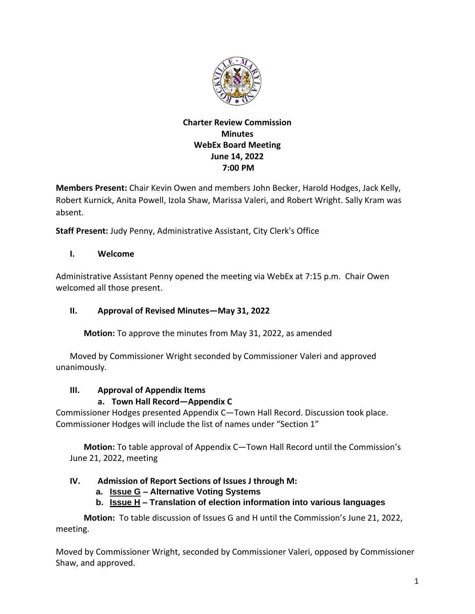

# **Charter Review Commission Minutes WebEx Board Meeting June 14, 2022 7:00 PM**

**Members Present:** Chair Kevin Owen and members John Becker, Harold Hodges, Jack Kelly, Robert Kurnick, Anita Powell, Izola Shaw, Marissa Valeri, and Robert Wright. Sally Kram was absent.

**Staff Present:** Judy Penny, Administrative Assistant, City Clerk's Office

# **I. Welcome**

Administrative Assistant Penny opened the meeting via WebEx at 7:15 p.m. Chair Owen welcomed all those present.

# **II. Approval of Revised Minutes—May 31, 2022**

**Motion:** To approve the minutes from May 31, 2022, as amended

Moved by Commissioner Wright seconded by Commissioner Valeri and approved unanimously.

## **III. Approval of Appendix Items**

# **a. Town Hall Record—Appendix C**

Commissioner Hodges presented Appendix C—Town Hall Record. Discussion took place. Commissioner Hodges will include the list of names under "Section 1"

**Motion:** To table approval of Appendix C—Town Hall Record until the Commission's June 21, 2022, meeting

# **IV. Admission of Report Sections of Issues J through M:**

## **a. Issue G – Alternative Voting Systems**

# **b. Issue H – Translation of election information into various languages**

**Motion:** To table discussion of Issues G and H until the Commission's June 21, 2022, meeting.

Moved by Commissioner Wright, seconded by Commissioner Valeri, opposed by Commissioner Shaw, and approved.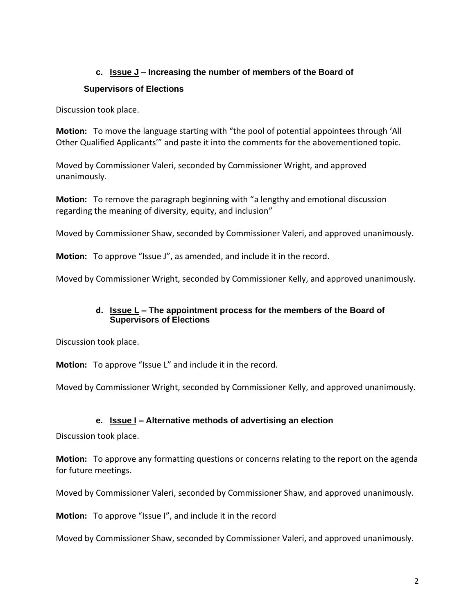## **c. Issue J – Increasing the number of members of the Board of**

## **Supervisors of Elections**

Discussion took place.

**Motion:** To move the language starting with "the pool of potential appointees through 'All Other Qualified Applicants'" and paste it into the comments for the abovementioned topic.

Moved by Commissioner Valeri, seconded by Commissioner Wright, and approved unanimously.

**Motion:** To remove the paragraph beginning with "a lengthy and emotional discussion regarding the meaning of diversity, equity, and inclusion"

Moved by Commissioner Shaw, seconded by Commissioner Valeri, and approved unanimously.

**Motion:** To approve "Issue J", as amended, and include it in the record.

Moved by Commissioner Wright, seconded by Commissioner Kelly, and approved unanimously.

#### **d. Issue L – The appointment process for the members of the Board of Supervisors of Elections**

Discussion took place.

**Motion:** To approve "Issue L" and include it in the record.

Moved by Commissioner Wright, seconded by Commissioner Kelly, and approved unanimously.

## **e. Issue I – Alternative methods of advertising an election**

Discussion took place.

**Motion:** To approve any formatting questions or concerns relating to the report on the agenda for future meetings.

Moved by Commissioner Valeri, seconded by Commissioner Shaw, and approved unanimously.

**Motion:** To approve "Issue I", and include it in the record

Moved by Commissioner Shaw, seconded by Commissioner Valeri, and approved unanimously.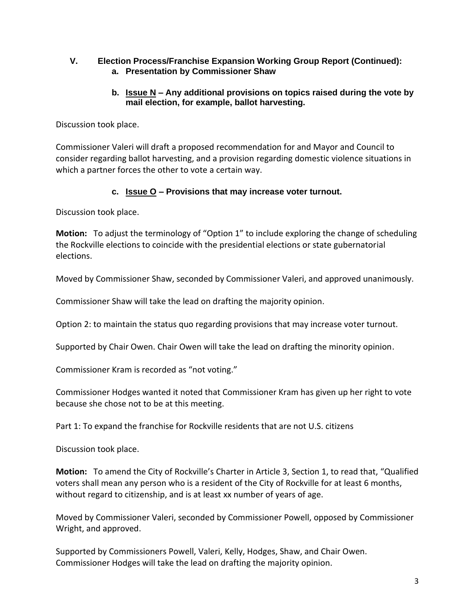#### **V. Election Process/Franchise Expansion Working Group Report (Continued): a. Presentation by Commissioner Shaw**

## **b. Issue N – Any additional provisions on topics raised during the vote by mail election, for example, ballot harvesting.**

Discussion took place.

Commissioner Valeri will draft a proposed recommendation for and Mayor and Council to consider regarding ballot harvesting, and a provision regarding domestic violence situations in which a partner forces the other to vote a certain way.

# **c. Issue O – Provisions that may increase voter turnout.**

Discussion took place.

**Motion:** To adjust the terminology of "Option 1" to include exploring the change of scheduling the Rockville elections to coincide with the presidential elections or state gubernatorial elections.

Moved by Commissioner Shaw, seconded by Commissioner Valeri, and approved unanimously.

Commissioner Shaw will take the lead on drafting the majority opinion.

Option 2: to maintain the status quo regarding provisions that may increase voter turnout.

Supported by Chair Owen. Chair Owen will take the lead on drafting the minority opinion.

Commissioner Kram is recorded as "not voting."

Commissioner Hodges wanted it noted that Commissioner Kram has given up her right to vote because she chose not to be at this meeting.

Part 1: To expand the franchise for Rockville residents that are not U.S. citizens

Discussion took place.

**Motion:** To amend the City of Rockville's Charter in Article 3, Section 1, to read that, "Qualified voters shall mean any person who is a resident of the City of Rockville for at least 6 months, without regard to citizenship, and is at least xx number of years of age.

Moved by Commissioner Valeri, seconded by Commissioner Powell, opposed by Commissioner Wright, and approved.

Supported by Commissioners Powell, Valeri, Kelly, Hodges, Shaw, and Chair Owen. Commissioner Hodges will take the lead on drafting the majority opinion.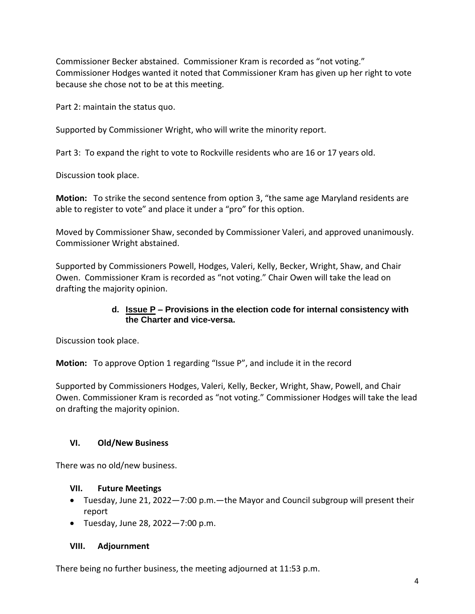Commissioner Becker abstained. Commissioner Kram is recorded as "not voting." Commissioner Hodges wanted it noted that Commissioner Kram has given up her right to vote because she chose not to be at this meeting.

Part 2: maintain the status quo.

Supported by Commissioner Wright, who will write the minority report.

Part 3: To expand the right to vote to Rockville residents who are 16 or 17 years old.

Discussion took place.

**Motion:** To strike the second sentence from option 3, "the same age Maryland residents are able to register to vote" and place it under a "pro" for this option.

Moved by Commissioner Shaw, seconded by Commissioner Valeri, and approved unanimously. Commissioner Wright abstained.

Supported by Commissioners Powell, Hodges, Valeri, Kelly, Becker, Wright, Shaw, and Chair Owen. Commissioner Kram is recorded as "not voting." Chair Owen will take the lead on drafting the majority opinion.

#### **d. Issue P – Provisions in the election code for internal consistency with the Charter and vice-versa.**

Discussion took place.

**Motion:** To approve Option 1 regarding "Issue P", and include it in the record

Supported by Commissioners Hodges, Valeri, Kelly, Becker, Wright, Shaw, Powell, and Chair Owen. Commissioner Kram is recorded as "not voting." Commissioner Hodges will take the lead on drafting the majority opinion.

## **VI. Old/New Business**

There was no old/new business.

#### **VII. Future Meetings**

- Tuesday, June 21, 2022—7:00 p.m.—the Mayor and Council subgroup will present their report
- Tuesday, June 28, 2022—7:00 p.m.

#### **VIII. Adjournment**

There being no further business, the meeting adjourned at 11:53 p.m.